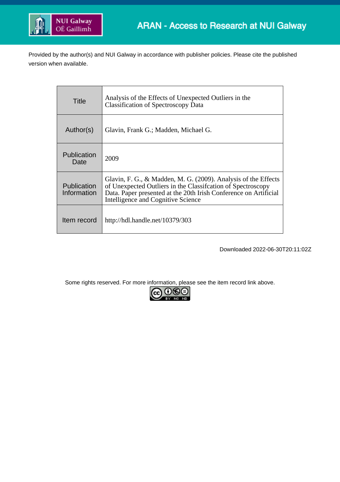

Provided by the author(s) and NUI Galway in accordance with publisher policies. Please cite the published version when available.

| Title                             | Analysis of the Effects of Unexpected Outliers in the<br><b>Classification of Spectroscopy Data</b>                                                                                                                                      |
|-----------------------------------|------------------------------------------------------------------------------------------------------------------------------------------------------------------------------------------------------------------------------------------|
| Author(s)                         | Glavin, Frank G.; Madden, Michael G.                                                                                                                                                                                                     |
| Publication<br>Date               | 2009                                                                                                                                                                                                                                     |
| <b>Publication</b><br>Information | Glavin, F. G., & Madden, M. G. (2009). Analysis of the Effects<br>of Unexpected Outliers in the Classification of Spectroscopy<br>Data. Paper presented at the 20th Irish Conference on Artificial<br>Intelligence and Cognitive Science |
| Item record                       | http://hdl.handle.net/10379/303                                                                                                                                                                                                          |

Downloaded 2022-06-30T20:11:02Z

Some rights reserved. For more information, please see the item record link above.

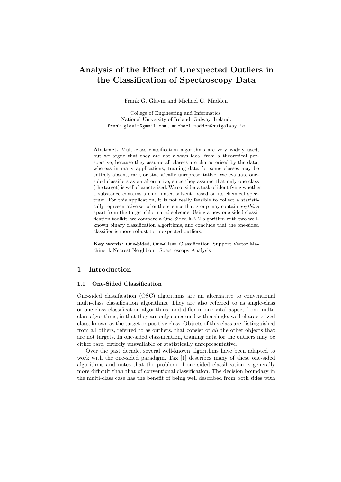# Analysis of the Effect of Unexpected Outliers in the Classification of Spectroscopy Data

Frank G. Glavin and Michael G. Madden

College of Engineering and Informatics, National University of Ireland, Galway, Ireland. frank.glavin@gmail.com, michael.madden@nuigalway.ie

Abstract. Multi-class classification algorithms are very widely used, but we argue that they are not always ideal from a theoretical perspective, because they assume all classes are characterised by the data, whereas in many applications, training data for some classes may be entirely absent, rare, or statistically unrepresentative. We evaluate onesided classifiers as an alternative, since they assume that only one class (the target) is well characterised. We consider a task of identifying whether a substance contains a chlorinated solvent, based on its chemical spectrum. For this application, it is not really feasible to collect a statistically representative set of outliers, since that group may contain anything apart from the target chlorinated solvents. Using a new one-sided classification toolkit, we compare a One-Sided k-NN algorithm with two wellknown binary classification algorithms, and conclude that the one-sided classifier is more robust to unexpected outliers.

Key words: One-Sided, One-Class, Classification, Support Vector Machine, k-Nearest Neighbour, Spectroscopy Analysis

# 1 Introduction

## 1.1 One-Sided Classification

One-sided classification (OSC) algorithms are an alternative to conventional multi-class classification algorithms. They are also referred to as single-class or one-class classification algorithms, and differ in one vital aspect from multiclass algorithms, in that they are only concerned with a single, well-characterized class, known as the target or positive class. Objects of this class are distinguished from all others, referred to as outliers, that consist of all the other objects that are not targets. In one-sided classification, training data for the outliers may be either rare, entirely unavailable or statistically unrepresentative.

Over the past decade, several well-known algorithms have been adapted to work with the one-sided paradigm. Tax [1] describes many of these one-sided algorithms and notes that the problem of one-sided classification is generally more difficult than that of conventional classification. The decision boundary in the multi-class case has the benefit of being well described from both sides with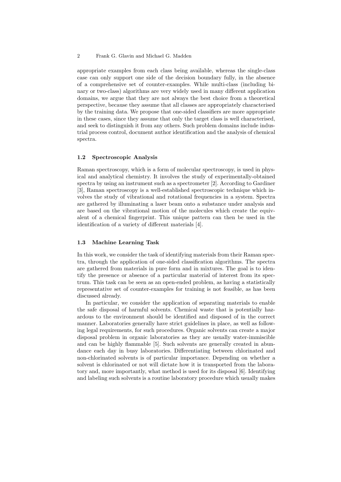appropriate examples from each class being available, whereas the single-class case can only support one side of the decision boundary fully, in the absence of a comprehensive set of counter-examples. While multi-class (including binary or two-class) algorithms are very widely used in many different application domains, we argue that they are not always the best choice from a theoretical perspective, because they assume that all classes are appropriately characterised by the training data. We propose that one-sided classifiers are more appropriate in these cases, since they assume that only the target class is well characterised, and seek to distinguish it from any others. Such problem domains include industrial process control, document author identification and the analysis of chemical spectra.

## 1.2 Spectroscopic Analysis

Raman spectroscopy, which is a form of molecular spectroscopy, is used in physical and analytical chemistry. It involves the study of experimentally-obtained spectra by using an instrument such as a spectrometer [2]. According to Gardiner [3], Raman spectroscopy is a well-established spectroscopic technique which involves the study of vibrational and rotational frequencies in a system. Spectra are gathered by illuminating a laser beam onto a substance under analysis and are based on the vibrational motion of the molecules which create the equivalent of a chemical fingerprint. This unique pattern can then be used in the identification of a variety of different materials [4].

#### 1.3 Machine Learning Task

In this work, we consider the task of identifying materials from their Raman spectra, through the application of one-sided classification algorithms. The spectra are gathered from materials in pure form and in mixtures. The goal is to identify the presence or absence of a particular material of interest from its spectrum. This task can be seen as an open-ended problem, as having a statistically representative set of counter-examples for training is not feasible, as has been discussed already.

In particular, we consider the application of separating materials to enable the safe disposal of harmful solvents. Chemical waste that is potentially hazardous to the environment should be identified and disposed of in the correct manner. Laboratories generally have strict guidelines in place, as well as following legal requirements, for such procedures. Organic solvents can create a major disposal problem in organic laboratories as they are usually water-immiscible and can be highly flammable [5]. Such solvents are generally created in abundance each day in busy laboratories. Differentiating between chlorinated and non-chlorinated solvents is of particular importance. Depending on whether a solvent is chlorinated or not will dictate how it is transported from the laboratory and, more importantly, what method is used for its disposal [6]. Identifying and labeling such solvents is a routine laboratory procedure which usually makes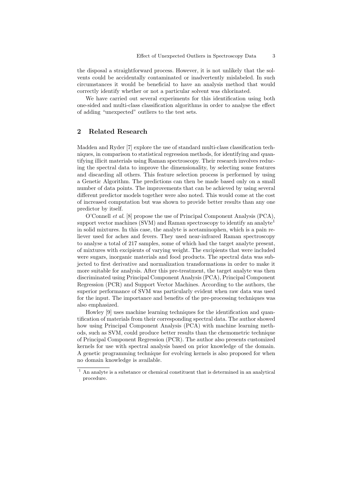the disposal a straightforward process. However, it is not unlikely that the solvents could be accidentally contaminated or inadvertently mislabeled. In such circumstances it would be beneficial to have an analysis method that would correctly identify whether or not a particular solvent was chlorinated.

We have carried out several experiments for this identification using both one-sided and multi-class classification algorithms in order to analyse the effect of adding "unexpected" outliers to the test sets.

# 2 Related Research

Madden and Ryder [7] explore the use of standard multi-class classification techniques, in comparison to statistical regression methods, for identifying and quantifying illicit materials using Raman spectroscopy. Their research involves reducing the spectral data to improve the dimensionality, by selecting some features and discarding all others. This feature selection process is performed by using a Genetic Algorithm. The predictions can then be made based only on a small number of data points. The improvements that can be achieved by using several different predictor models together were also noted. This would come at the cost of increased computation but was shown to provide better results than any one predictor by itself.

O'Connell et al. [8] propose the use of Principal Component Analysis (PCA), support vector machines (SVM) and Raman spectroscopy to identify an analyte<sup>1</sup> in solid mixtures. In this case, the analyte is acetaminophen, which is a pain reliever used for aches and fevers. They used near-infrared Raman spectroscopy to analyse a total of 217 samples, some of which had the target analyte present, of mixtures with excipients of varying weight. The excipients that were included were sugars, inorganic materials and food products. The spectral data was subjected to first derivative and normalization transformations in order to make it more suitable for analysis. After this pre-treatment, the target analyte was then discriminated using Principal Component Analysis (PCA), Principal Component Regression (PCR) and Support Vector Machines. According to the authors, the superior performance of SVM was particularly evident when raw data was used for the input. The importance and benefits of the pre-processing techniques was also emphasized.

Howley [9] uses machine learning techniques for the identification and quantification of materials from their corresponding spectral data. The author showed how using Principal Component Analysis (PCA) with machine learning methods, such as SVM, could produce better results than the chemometric technique of Principal Component Regression (PCR). The author also presents customized kernels for use with spectral analysis based on prior knowledge of the domain. A genetic programming technique for evolving kernels is also proposed for when no domain knowledge is available.

 $^{\rm 1}$  An analyte is a substance or chemical constituent that is determined in an analytical procedure.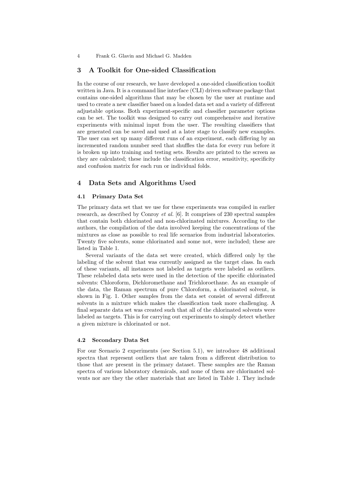# 3 A Toolkit for One-sided Classification

In the course of our research, we have developed a one-sided classification toolkit written in Java. It is a command line interface (CLI) driven software package that contains one-sided algorithms that may be chosen by the user at runtime and used to create a new classifier based on a loaded data set and a variety of different adjustable options. Both experiment-specific and classifier parameter options can be set. The toolkit was designed to carry out comprehensive and iterative experiments with minimal input from the user. The resulting classifiers that are generated can be saved and used at a later stage to classify new examples. The user can set up many different runs of an experiment, each differing by an incremented random number seed that shuffles the data for every run before it is broken up into training and testing sets. Results are printed to the screen as they are calculated; these include the classification error, sensitivity, specificity and confusion matrix for each run or individual folds.

# 4 Data Sets and Algorithms Used

## 4.1 Primary Data Set

The primary data set that we use for these experiments was compiled in earlier research, as described by Conroy et al. [6]. It comprises of 230 spectral samples that contain both chlorinated and non-chlorinated mixtures. According to the authors, the compilation of the data involved keeping the concentrations of the mixtures as close as possible to real life scenarios from industrial laboratories. Twenty five solvents, some chlorinated and some not, were included; these are listed in Table 1.

Several variants of the data set were created, which differed only by the labeling of the solvent that was currently assigned as the target class. In each of these variants, all instances not labeled as targets were labeled as outliers. These relabeled data sets were used in the detection of the specific chlorinated solvents: Chloroform, Dichloromethane and Trichloroethane. As an example of the data, the Raman spectrum of pure Chloroform, a chlorinated solvent, is shown in Fig. 1. Other samples from the data set consist of several different solvents in a mixture which makes the classification task more challenging. A final separate data set was created such that all of the chlorinated solvents were labeled as targets. This is for carrying out experiments to simply detect whether a given mixture is chlorinated or not.

## 4.2 Secondary Data Set

For our Scenario 2 experiments (see Section 5.1), we introduce 48 additional spectra that represent outliers that are taken from a different distribution to those that are present in the primary dataset. These samples are the Raman spectra of various laboratory chemicals, and none of them are chlorinated solvents nor are they the other materials that are listed in Table 1. They include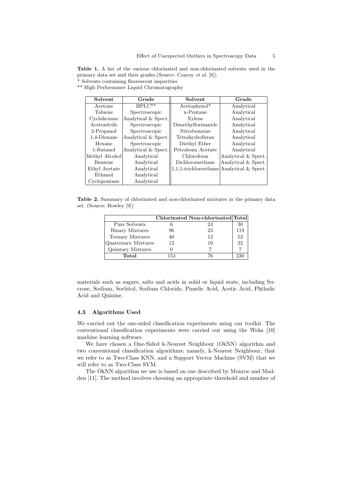Table 1. A list of the various chlorinated and non-chlorinated solvents used in the primary data set and their grades.(Source: Conroy et al. [6]) \* Solvents containing fluorescent impurities

\*\* High Performance Liquid Chromatography

| Solvent        | Grade                  | Solvent                                      | Grade               |
|----------------|------------------------|----------------------------------------------|---------------------|
| Acetone        | $HPLC^{\overline{**}}$ | $A$ cetophenol*                              | Analytical          |
| Toluene        | Spectroscopic          | n-Pentane                                    | Analytical          |
| Cyclohexane    | Analytical & Spect.    | Xylene                                       | Analytical          |
| Acetonitrile   | Spectroscopic          | Dimethylformanide                            | Analytical          |
| 2-Propanol     | Spectroscopic          | Nitrobenzene                                 | Analytical          |
| 1,4-Dioxane    | Analytical & Spect.    | Tetrahydrofuran                              | Analytical          |
| Hexane         | Spectroscopic          | Diethyl Ether                                | Analytical          |
| 1-Butanol      | Analytical & Spect.    | Petroleum Acetate                            | Analytical          |
| Methyl Alcohol | Analytical             | Chloroform                                   | Analytical & Spect. |
| Benzene        | Analytical             | Dichloromethane                              | Analytical & Spect. |
| Ethyl Acetate  | Analytical             | $1,1,1$ -trichloroethane Analytical & Spect. |                     |
| Ethanol        | Analytical             |                                              |                     |
| Cyclopentane   | Analytical             |                                              |                     |

Table 2. Summary of chlorinated and non-chlorinated mixtures in the primary data set. (Source: Howley [9])

|                        |     | Chlorinated Non-chlorinated Total |     |
|------------------------|-----|-----------------------------------|-----|
| Pure Solvents          |     | 24                                | 30  |
| <b>Binary Mixtures</b> | 96  | 23                                | 119 |
| Ternary Mixtures       | 40  | 12                                | 52  |
| Quaternary Mixtures    | 12  | 10                                | 22  |
| Quintary Mixtures      |     |                                   |     |
| Total                  | 154 | 76                                |     |

materials such as sugars, salts and acids in solid or liquid state, including Sucrose, Sodium, Sorbitol, Sodium Chloride, Pimelic Acid, Acetic Acid, Phthalic Acid and Quinine.

## 4.3 Algorithms Used

We carried out the one-sided classification experiments using our toolkit. The conventional classification experiments were carried out using the Weka [10] machine learning software.

We have chosen a One-Sided k-Nearest Neighbour (OkNN) algorithm and two conventional classification algorithms; namely, k-Nearest Neighbour, that we refer to as Two-Class KNN, and a Support Vector Machine (SVM) that we will refer to as Two-Class SVM.

The OkNN algorithm we use is based on one described by Monroe and Madden [11]. The method involves choosing an appropriate threshold and number of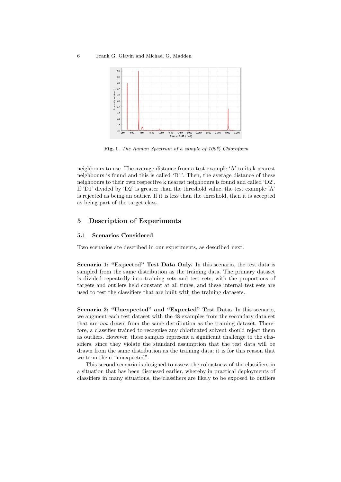

Fig. 1. The Raman Spectrum of a sample of 100% Chloroform

neighbours to use. The average distance from a test example 'A' to its k nearest neighbours is found and this is called 'D1'. Then, the average distance of these neighbours to their own respective k nearest neighbours is found and called 'D2'. If 'D1' divided by 'D2' is greater than the threshold value, the test example  $A'$ is rejected as being an outlier. If it is less than the threshold, then it is accepted as being part of the target class.

# 5 Description of Experiments

## 5.1 Scenarios Considered

Two scenarios are described in our experiments, as described next.

Scenario 1: "Expected" Test Data Only. In this scenario, the test data is sampled from the same distribution as the training data. The primary dataset is divided repeatedly into training sets and test sets, with the proportions of targets and outliers held constant at all times, and these internal test sets are used to test the classifiers that are built with the training datasets.

Scenario 2: "Unexpected" and "Expected" Test Data. In this scenario, we augment each test dataset with the 48 examples from the secondary data set that are not drawn from the same distribution as the training dataset. Therefore, a classifier trained to recognise any chlorinated solvent should reject them as outliers. However, these samples represent a significant challenge to the classifiers, since they violate the standard assumption that the test data will be drawn from the same distribution as the training data; it is for this reason that we term them "unexpected".

This second scenario is designed to assess the robustness of the classifiers in a situation that has been discussed earlier, whereby in practical deployments of classifiers in many situations, the classifiers are likely to be exposed to outliers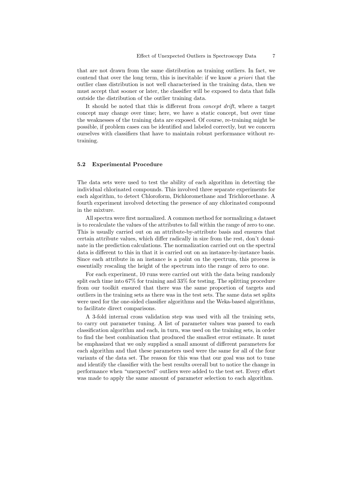that are not drawn from the same distribution as training outliers. In fact, we contend that over the long term, this is inevitable: if we know a priori that the outlier class distribution is not well characterised in the training data, then we must accept that sooner or later, the classifier will be exposed to data that falls outside the distribution of the outlier training data.

It should be noted that this is different from concept drift, where a target concept may change over time; here, we have a static concept, but over time the weaknesses of the training data are exposed. Of course, re-training might be possible, if problem cases can be identified and labeled correctly, but we concern ourselves with classifiers that have to maintain robust performance without retraining.

## 5.2 Experimental Procedure

The data sets were used to test the ability of each algorithm in detecting the individual chlorinated compounds. This involved three separate experiments for each algorithm, to detect Chloroform, Dichloromethane and Trichloroethane. A fourth experiment involved detecting the presence of any chlorinated compound in the mixture.

All spectra were first normalized. A common method for normalizing a dataset is to recalculate the values of the attributes to fall within the range of zero to one. This is usually carried out on an attribute-by-attribute basis and ensures that certain attribute values, which differ radically in size from the rest, don't dominate in the prediction calculations. The normalization carried out on the spectral data is different to this in that it is carried out on an instance-by-instance basis. Since each attribute in an instance is a point on the spectrum, this process is essentially rescaling the height of the spectrum into the range of zero to one.

For each experiment, 10 runs were carried out with the data being randomly split each time into 67% for training and 33% for testing. The splitting procedure from our toolkit ensured that there was the same proportion of targets and outliers in the training sets as there was in the test sets. The same data set splits were used for the one-sided classifier algorithms and the Weka-based algorithms, to facilitate direct comparisons.

A 3-fold internal cross validation step was used with all the training sets, to carry out parameter tuning. A list of parameter values was passed to each classification algorithm and each, in turn, was used on the training sets, in order to find the best combination that produced the smallest error estimate. It must be emphasized that we only supplied a small amount of different parameters for each algorithm and that these parameters used were the same for all of the four variants of the data set. The reason for this was that our goal was not to tune and identify the classifier with the best results overall but to notice the change in performance when "unexpected" outliers were added to the test set. Every effort was made to apply the same amount of parameter selection to each algorithm.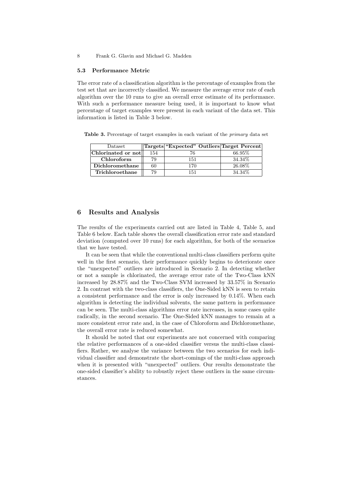#### 5.3 Performance Metric

The error rate of a classification algorithm is the percentage of examples from the test set that are incorrectly classified. We measure the average error rate of each algorithm over the 10 runs to give an overall error estimate of its performance. With such a performance measure being used, it is important to know what percentage of target examples were present in each variant of the data set. This information is listed in Table 3 below.

Table 3. Percentage of target examples in each variant of the *primary* data set

| Dataset            |     | Targets "Expected" Outliers Target Percent |         |
|--------------------|-----|--------------------------------------------|---------|
| Chlorinated or not | 154 | 76                                         | 66.95\% |
| Chloroform         | 79  | 151                                        | 34.34\% |
| Dichloromethane    | 60  | 170                                        | 26.08%  |
| Trichloroethane    | 79  | 151                                        | 34.34\% |

# 6 Results and Analysis

The results of the experiments carried out are listed in Table 4, Table 5, and Table 6 below. Each table shows the overall classification error rate and standard deviation (computed over 10 runs) for each algorithm, for both of the scenarios that we have tested.

It can be seen that while the conventional multi-class classifiers perform quite well in the first scenario, their performance quickly begins to deteriorate once the "unexpected" outliers are introduced in Scenario 2. In detecting whether or not a sample is chlorinated, the average error rate of the Two-Class kNN increased by 28.87% and the Two-Class SVM increased by 33.57% in Scenario 2. In contrast with the two-class classifiers, the One-Sided kNN is seen to retain a consistent performance and the error is only increased by 0.14%. When each algorithm is detecting the individual solvents, the same pattern in performance can be seen. The multi-class algorithms error rate increases, in some cases quite radically, in the second scenario. The One-Sided kNN manages to remain at a more consistent error rate and, in the case of Chloroform and Dichloromethane, the overall error rate is reduced somewhat.

It should be noted that our experiments are not concerned with comparing the relative performances of a one-sided classifier versus the multi-class classifiers. Rather, we analyse the variance between the two scenarios for each individual classifier and demonstrate the short-comings of the multi-class approach when it is presented with "unexpected" outliers. Our results demonstrate the one-sided classifier's ability to robustly reject these outliers in the same circumstances.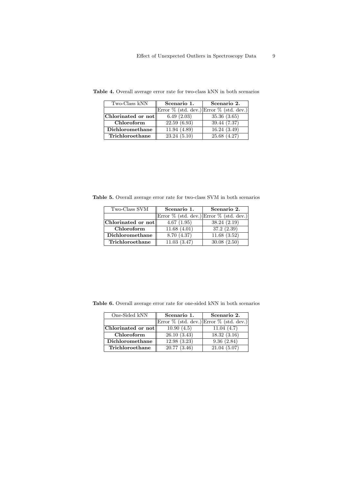| Two-Class kNN      | Scenario 1.                                          | Scenario 2.  |
|--------------------|------------------------------------------------------|--------------|
|                    | $\ \text{Error } \%$ (std. dev.) Error % (std. dev.) |              |
| Chlorinated or not | 6.49(2.03)                                           | 35.36(3.65)  |
| Chloroform         | 22.59(6.93)                                          | 39.44 (7.37) |
| Dichloromethane    | 11.94 (4.89)                                         | 16.24(3.49)  |
| Trichloroethane    | 23.24(5.10)                                          | 25.68(4.27)  |

Table 4. Overall average error rate for two-class kNN in both scenarios

Table 5. Overall average error rate for two-class SVM in both scenarios

| Two-Class SVM      | Scenario 1.                                   | Scenario 2.               |
|--------------------|-----------------------------------------------|---------------------------|
|                    | Error $\%$ (std. dev.) Error $\%$ (std. dev.) |                           |
| Chlorinated or not | 4.67(1.95)                                    | 38.24(2.19)               |
| Chloroform         | 11.68(4.01)                                   | 37.2(2.39)                |
| Dichloromethane    | 8.70 (4.37)                                   | $\overline{11.68}$ (3.52) |
| Trichloroethane    | 11.03(3.47)                                   | 30.08(2.50)               |

Table 6. Overall average error rate for one-sided kNN in both scenarios

| One-Sided kNN      | Scenario 1.                                   | Scenario 2. |
|--------------------|-----------------------------------------------|-------------|
|                    | Error $\%$ (std. dev.) Error $\%$ (std. dev.) |             |
| Chlorinated or not | 10.90(4.5)                                    | 11.04(4.7)  |
| Chloroform         | 26.10(3.43)                                   | 18.32(3.16) |
| Dichloromethane    | 12.98(3.23)                                   | 9.36(2.84)  |
| Trichloroethane    | 20.77(3.46)                                   | 21.04(5.07) |